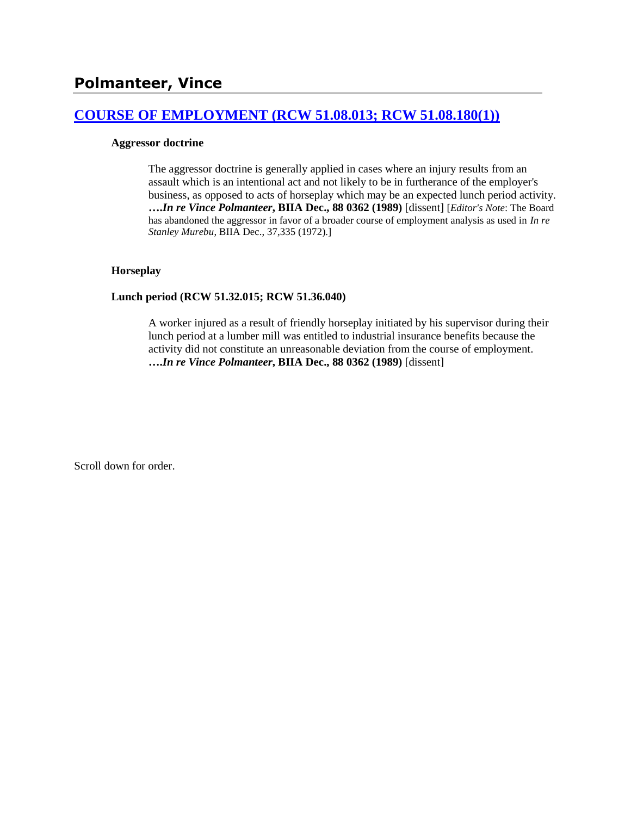# **[COURSE OF EMPLOYMENT \(RCW 51.08.013; RCW 51.08.180\(1\)\)](http://www.biia.wa.gov/SDSubjectIndex.html#COURSE_OF_EMPLOYMENT)**

### **Aggressor doctrine**

The aggressor doctrine is generally applied in cases where an injury results from an assault which is an intentional act and not likely to be in furtherance of the employer's business, as opposed to acts of horseplay which may be an expected lunch period activity. **….***In re Vince Polmanteer***, BIIA Dec., 88 0362 (1989)** [dissent] [*Editor's Note*: The Board has abandoned the aggressor in favor of a broader course of employment analysis as used in *In re Stanley Murebu*, BIIA Dec., 37,335 (1972).]

### **Horseplay**

### **Lunch period (RCW 51.32.015; RCW 51.36.040)**

A worker injured as a result of friendly horseplay initiated by his supervisor during their lunch period at a lumber mill was entitled to industrial insurance benefits because the activity did not constitute an unreasonable deviation from the course of employment. **….***In re Vince Polmanteer***, BIIA Dec., 88 0362 (1989)** [dissent]

Scroll down for order.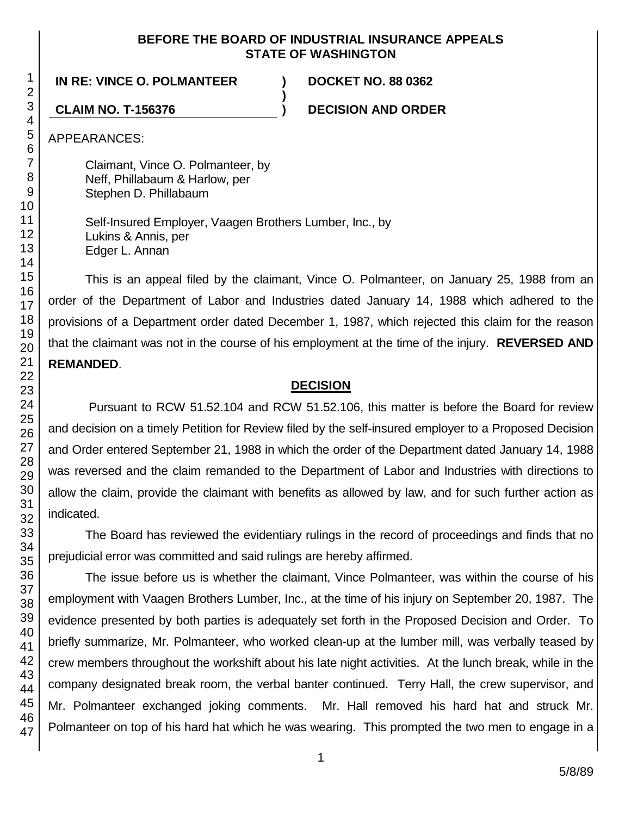### **BEFORE THE BOARD OF INDUSTRIAL INSURANCE APPEALS STATE OF WASHINGTON**

**)**

## **IN RE: VINCE O. POLMANTEER ) DOCKET NO. 88 0362**

**CLAIM NO. T-156376 ) DECISION AND ORDER**

APPEARANCES:

Claimant, Vince O. Polmanteer, by Neff, Phillabaum & Harlow, per Stephen D. Phillabaum

Self-Insured Employer, Vaagen Brothers Lumber, Inc., by Lukins & Annis, per Edger L. Annan

This is an appeal filed by the claimant, Vince O. Polmanteer, on January 25, 1988 from an order of the Department of Labor and Industries dated January 14, 1988 which adhered to the provisions of a Department order dated December 1, 1987, which rejected this claim for the reason that the claimant was not in the course of his employment at the time of the injury. **REVERSED AND REMANDED**.

## **DECISION**

Pursuant to RCW 51.52.104 and RCW 51.52.106, this matter is before the Board for review and decision on a timely Petition for Review filed by the self-insured employer to a Proposed Decision and Order entered September 21, 1988 in which the order of the Department dated January 14, 1988 was reversed and the claim remanded to the Department of Labor and Industries with directions to allow the claim, provide the claimant with benefits as allowed by law, and for such further action as indicated.

The Board has reviewed the evidentiary rulings in the record of proceedings and finds that no prejudicial error was committed and said rulings are hereby affirmed.

The issue before us is whether the claimant, Vince Polmanteer, was within the course of his employment with Vaagen Brothers Lumber, Inc., at the time of his injury on September 20, 1987. The evidence presented by both parties is adequately set forth in the Proposed Decision and Order. To briefly summarize, Mr. Polmanteer, who worked clean-up at the lumber mill, was verbally teased by crew members throughout the workshift about his late night activities. At the lunch break, while in the company designated break room, the verbal banter continued. Terry Hall, the crew supervisor, and Mr. Polmanteer exchanged joking comments. Mr. Hall removed his hard hat and struck Mr. Polmanteer on top of his hard hat which he was wearing. This prompted the two men to engage in a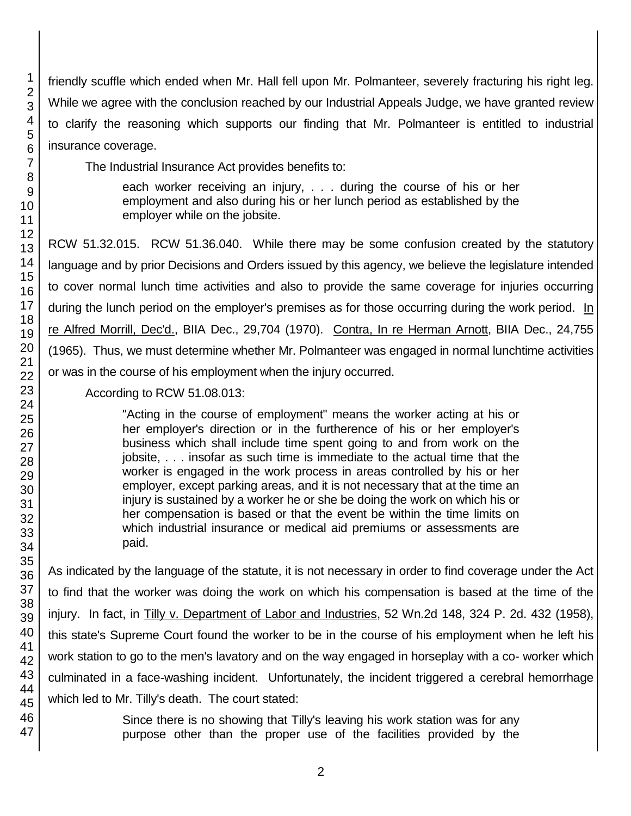friendly scuffle which ended when Mr. Hall fell upon Mr. Polmanteer, severely fracturing his right leg. While we agree with the conclusion reached by our Industrial Appeals Judge, we have granted review to clarify the reasoning which supports our finding that Mr. Polmanteer is entitled to industrial insurance coverage.

The Industrial Insurance Act provides benefits to:

each worker receiving an injury, . . . during the course of his or her employment and also during his or her lunch period as established by the employer while on the jobsite.

RCW 51.32.015. RCW 51.36.040. While there may be some confusion created by the statutory language and by prior Decisions and Orders issued by this agency, we believe the legislature intended to cover normal lunch time activities and also to provide the same coverage for injuries occurring during the lunch period on the employer's premises as for those occurring during the work period. In re Alfred Morrill, Dec'd., BIIA Dec., 29,704 (1970). Contra, In re Herman Arnott, BIIA Dec., 24,755 (1965). Thus, we must determine whether Mr. Polmanteer was engaged in normal lunchtime activities or was in the course of his employment when the injury occurred.

According to RCW 51.08.013:

"Acting in the course of employment" means the worker acting at his or her employer's direction or in the furtherence of his or her employer's business which shall include time spent going to and from work on the jobsite, . . . insofar as such time is immediate to the actual time that the worker is engaged in the work process in areas controlled by his or her employer, except parking areas, and it is not necessary that at the time an injury is sustained by a worker he or she be doing the work on which his or her compensation is based or that the event be within the time limits on which industrial insurance or medical aid premiums or assessments are paid.

As indicated by the language of the statute, it is not necessary in order to find coverage under the Act to find that the worker was doing the work on which his compensation is based at the time of the injury. In fact, in Tilly v. Department of Labor and Industries, 52 Wn.2d 148, 324 P. 2d. 432 (1958), this state's Supreme Court found the worker to be in the course of his employment when he left his work station to go to the men's lavatory and on the way engaged in horseplay with a co- worker which culminated in a face-washing incident. Unfortunately, the incident triggered a cerebral hemorrhage which led to Mr. Tilly's death. The court stated:

> Since there is no showing that Tilly's leaving his work station was for any purpose other than the proper use of the facilities provided by the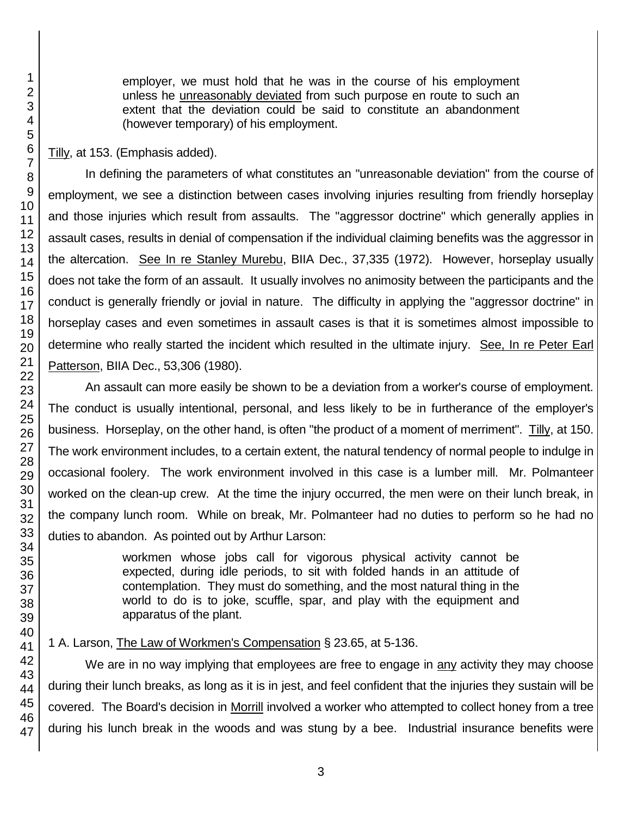employer, we must hold that he was in the course of his employment unless he unreasonably deviated from such purpose en route to such an extent that the deviation could be said to constitute an abandonment (however temporary) of his employment.

Tilly, at 153. (Emphasis added).

In defining the parameters of what constitutes an "unreasonable deviation" from the course of employment, we see a distinction between cases involving injuries resulting from friendly horseplay and those injuries which result from assaults. The "aggressor doctrine" which generally applies in assault cases, results in denial of compensation if the individual claiming benefits was the aggressor in the altercation. See In re Stanley Murebu, BIIA Dec., 37,335 (1972). However, horseplay usually does not take the form of an assault. It usually involves no animosity between the participants and the conduct is generally friendly or jovial in nature. The difficulty in applying the "aggressor doctrine" in horseplay cases and even sometimes in assault cases is that it is sometimes almost impossible to determine who really started the incident which resulted in the ultimate injury. See, In re Peter Earl Patterson, BIIA Dec., 53,306 (1980).

An assault can more easily be shown to be a deviation from a worker's course of employment. The conduct is usually intentional, personal, and less likely to be in furtherance of the employer's business. Horseplay, on the other hand, is often "the product of a moment of merriment". Tilly, at 150. The work environment includes, to a certain extent, the natural tendency of normal people to indulge in occasional foolery. The work environment involved in this case is a lumber mill. Mr. Polmanteer worked on the clean-up crew. At the time the injury occurred, the men were on their lunch break, in the company lunch room. While on break, Mr. Polmanteer had no duties to perform so he had no duties to abandon. As pointed out by Arthur Larson:

> workmen whose jobs call for vigorous physical activity cannot be expected, during idle periods, to sit with folded hands in an attitude of contemplation. They must do something, and the most natural thing in the world to do is to joke, scuffle, spar, and play with the equipment and apparatus of the plant.

1 A. Larson, The Law of Workmen's Compensation § 23.65, at 5-136.

We are in no way implying that employees are free to engage in any activity they may choose during their lunch breaks, as long as it is in jest, and feel confident that the injuries they sustain will be covered. The Board's decision in Morrill involved a worker who attempted to collect honey from a tree during his lunch break in the woods and was stung by a bee. Industrial insurance benefits were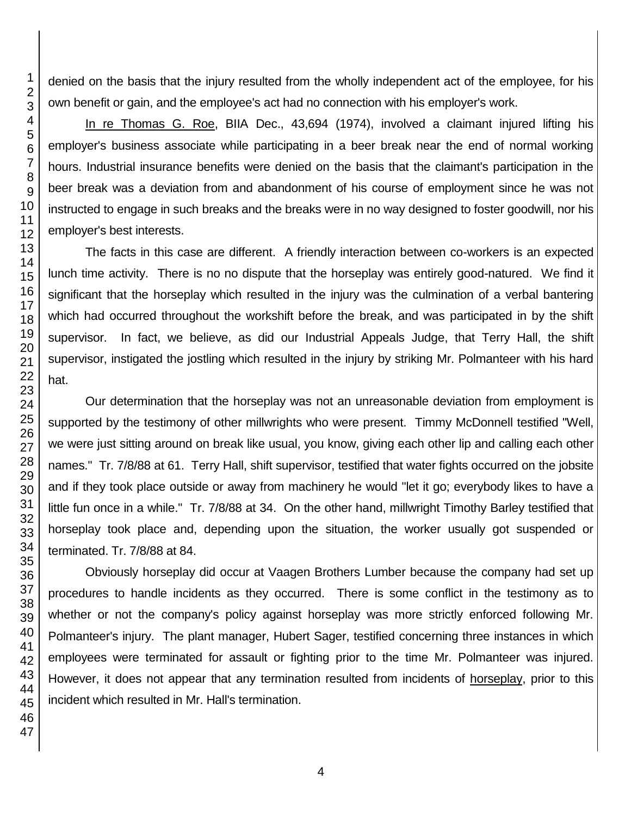denied on the basis that the injury resulted from the wholly independent act of the employee, for his own benefit or gain, and the employee's act had no connection with his employer's work.

In re Thomas G. Roe, BIIA Dec., 43,694 (1974), involved a claimant injured lifting his employer's business associate while participating in a beer break near the end of normal working hours. Industrial insurance benefits were denied on the basis that the claimant's participation in the beer break was a deviation from and abandonment of his course of employment since he was not instructed to engage in such breaks and the breaks were in no way designed to foster goodwill, nor his employer's best interests.

The facts in this case are different. A friendly interaction between co-workers is an expected lunch time activity. There is no no dispute that the horseplay was entirely good-natured. We find it significant that the horseplay which resulted in the injury was the culmination of a verbal bantering which had occurred throughout the workshift before the break, and was participated in by the shift supervisor. In fact, we believe, as did our Industrial Appeals Judge, that Terry Hall, the shift supervisor, instigated the jostling which resulted in the injury by striking Mr. Polmanteer with his hard hat.

Our determination that the horseplay was not an unreasonable deviation from employment is supported by the testimony of other millwrights who were present. Timmy McDonnell testified "Well, we were just sitting around on break like usual, you know, giving each other lip and calling each other names." Tr. 7/8/88 at 61. Terry Hall, shift supervisor, testified that water fights occurred on the jobsite and if they took place outside or away from machinery he would "let it go; everybody likes to have a little fun once in a while." Tr. 7/8/88 at 34. On the other hand, millwright Timothy Barley testified that horseplay took place and, depending upon the situation, the worker usually got suspended or terminated. Tr. 7/8/88 at 84.

Obviously horseplay did occur at Vaagen Brothers Lumber because the company had set up procedures to handle incidents as they occurred. There is some conflict in the testimony as to whether or not the company's policy against horseplay was more strictly enforced following Mr. Polmanteer's injury. The plant manager, Hubert Sager, testified concerning three instances in which employees were terminated for assault or fighting prior to the time Mr. Polmanteer was injured. However, it does not appear that any termination resulted from incidents of horseplay, prior to this incident which resulted in Mr. Hall's termination.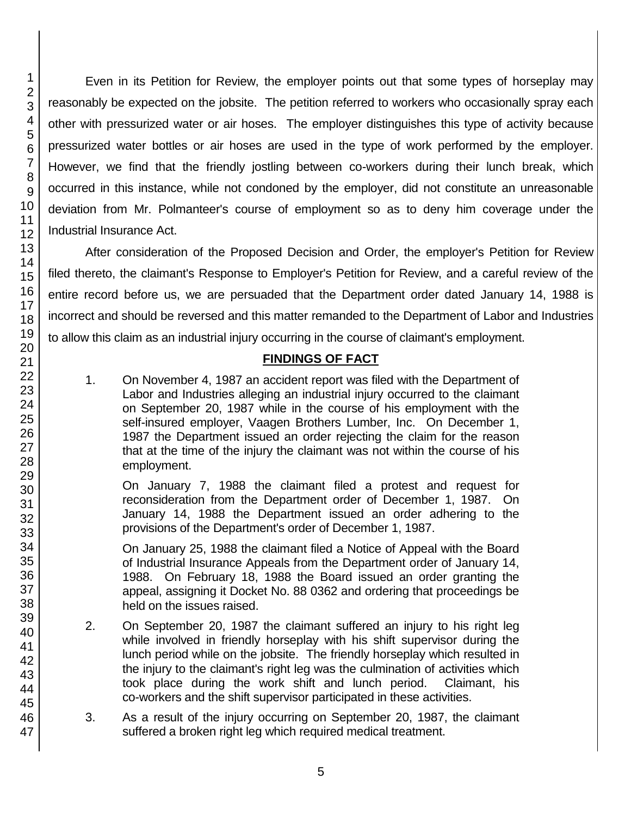46 47

Even in its Petition for Review, the employer points out that some types of horseplay may reasonably be expected on the jobsite. The petition referred to workers who occasionally spray each other with pressurized water or air hoses. The employer distinguishes this type of activity because pressurized water bottles or air hoses are used in the type of work performed by the employer. However, we find that the friendly jostling between co-workers during their lunch break, which occurred in this instance, while not condoned by the employer, did not constitute an unreasonable deviation from Mr. Polmanteer's course of employment so as to deny him coverage under the Industrial Insurance Act.

After consideration of the Proposed Decision and Order, the employer's Petition for Review filed thereto, the claimant's Response to Employer's Petition for Review, and a careful review of the entire record before us, we are persuaded that the Department order dated January 14, 1988 is incorrect and should be reversed and this matter remanded to the Department of Labor and Industries to allow this claim as an industrial injury occurring in the course of claimant's employment.

# **FINDINGS OF FACT**

1. On November 4, 1987 an accident report was filed with the Department of Labor and Industries alleging an industrial injury occurred to the claimant on September 20, 1987 while in the course of his employment with the self-insured employer, Vaagen Brothers Lumber, Inc. On December 1, 1987 the Department issued an order rejecting the claim for the reason that at the time of the injury the claimant was not within the course of his employment.

On January 7, 1988 the claimant filed a protest and request for reconsideration from the Department order of December 1, 1987. On January 14, 1988 the Department issued an order adhering to the provisions of the Department's order of December 1, 1987.

On January 25, 1988 the claimant filed a Notice of Appeal with the Board of Industrial Insurance Appeals from the Department order of January 14, 1988. On February 18, 1988 the Board issued an order granting the appeal, assigning it Docket No. 88 0362 and ordering that proceedings be held on the issues raised.

- 2. On September 20, 1987 the claimant suffered an injury to his right leg while involved in friendly horseplay with his shift supervisor during the lunch period while on the jobsite. The friendly horseplay which resulted in the injury to the claimant's right leg was the culmination of activities which took place during the work shift and lunch period. Claimant, his co-workers and the shift supervisor participated in these activities.
- 3. As a result of the injury occurring on September 20, 1987, the claimant suffered a broken right leg which required medical treatment.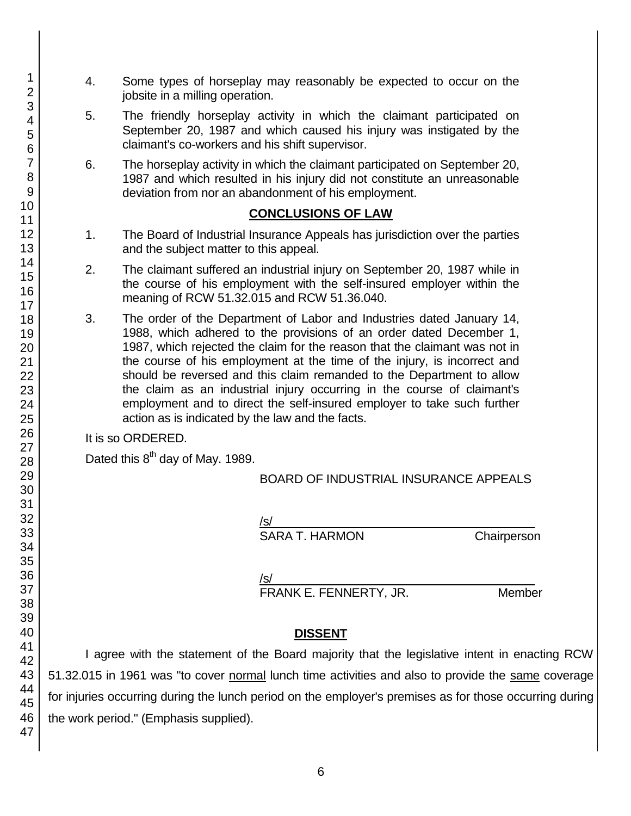- 4. Some types of horseplay may reasonably be expected to occur on the jobsite in a milling operation.
- 5. The friendly horseplay activity in which the claimant participated on September 20, 1987 and which caused his injury was instigated by the claimant's co-workers and his shift supervisor.
- 6. The horseplay activity in which the claimant participated on September 20, 1987 and which resulted in his injury did not constitute an unreasonable deviation from nor an abandonment of his employment.

## **CONCLUSIONS OF LAW**

- 1. The Board of Industrial Insurance Appeals has jurisdiction over the parties and the subject matter to this appeal.
- 2. The claimant suffered an industrial injury on September 20, 1987 while in the course of his employment with the self-insured employer within the meaning of RCW 51.32.015 and RCW 51.36.040.
- 3. The order of the Department of Labor and Industries dated January 14, 1988, which adhered to the provisions of an order dated December 1, 1987, which rejected the claim for the reason that the claimant was not in the course of his employment at the time of the injury, is incorrect and should be reversed and this claim remanded to the Department to allow the claim as an industrial injury occurring in the course of claimant's employment and to direct the self-insured employer to take such further action as is indicated by the law and the facts.

It is so ORDERED.

Dated this 8<sup>th</sup> day of May. 1989.

BOARD OF INDUSTRIAL INSURANCE APPEALS

/s/\_\_\_\_\_\_\_\_\_\_\_\_\_\_\_\_\_\_\_\_\_\_\_\_\_\_\_\_\_\_\_\_\_\_\_\_\_\_\_

SARA T. HARMON Chairperson

/s/  $\,$ 

FRANK E. FENNERTY, JR. Member

# **DISSENT**

I agree with the statement of the Board majority that the legislative intent in enacting RCW 51.32.015 in 1961 was "to cover normal lunch time activities and also to provide the same coverage for injuries occurring during the lunch period on the employer's premises as for those occurring during the work period." (Emphasis supplied).